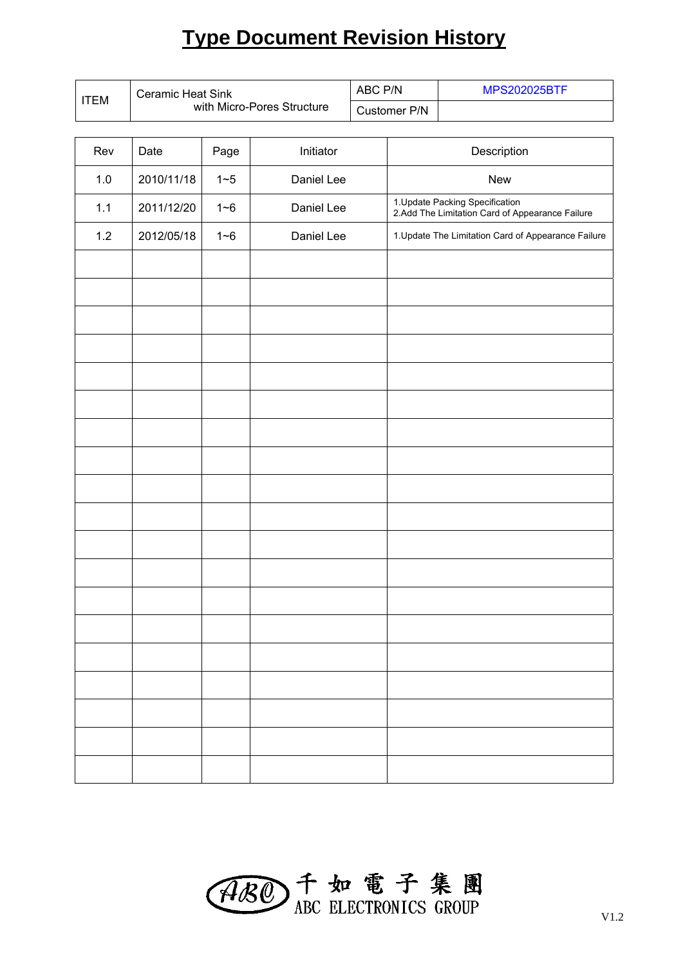# **Type Document Revision History**

| <b>Ceramic Heat Sink</b><br><b>ITEM</b> |                            |         |            | ABC P/N |                                                     | <b>MPS202025BTF</b>                                                                |  |  |
|-----------------------------------------|----------------------------|---------|------------|---------|-----------------------------------------------------|------------------------------------------------------------------------------------|--|--|
|                                         | with Micro-Pores Structure |         |            |         | Customer P/N                                        |                                                                                    |  |  |
|                                         |                            |         |            |         |                                                     |                                                                                    |  |  |
| Rev                                     | Date                       | Page    | Initiator  |         | Description                                         |                                                                                    |  |  |
| 1.0                                     | 2010/11/18                 | $1 - 5$ | Daniel Lee |         | <b>New</b>                                          |                                                                                    |  |  |
| 1.1                                     | 2011/12/20                 | $1 - 6$ | Daniel Lee |         |                                                     | 1. Update Packing Specification<br>2.Add The Limitation Card of Appearance Failure |  |  |
| 1.2                                     | 2012/05/18                 | $1 - 6$ | Daniel Lee |         | 1. Update The Limitation Card of Appearance Failure |                                                                                    |  |  |
|                                         |                            |         |            |         |                                                     |                                                                                    |  |  |
|                                         |                            |         |            |         |                                                     |                                                                                    |  |  |
|                                         |                            |         |            |         |                                                     |                                                                                    |  |  |
|                                         |                            |         |            |         |                                                     |                                                                                    |  |  |
|                                         |                            |         |            |         |                                                     |                                                                                    |  |  |
|                                         |                            |         |            |         |                                                     |                                                                                    |  |  |

| ABO T 如電子集團 |  |  |  |
|-------------|--|--|--|
|             |  |  |  |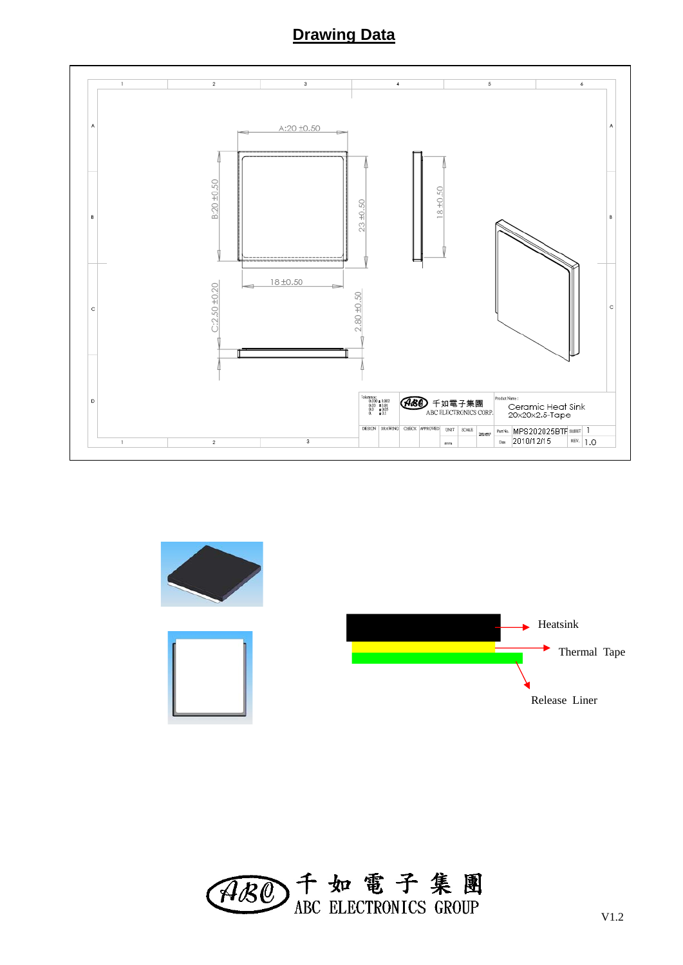#### **Drawing Data**





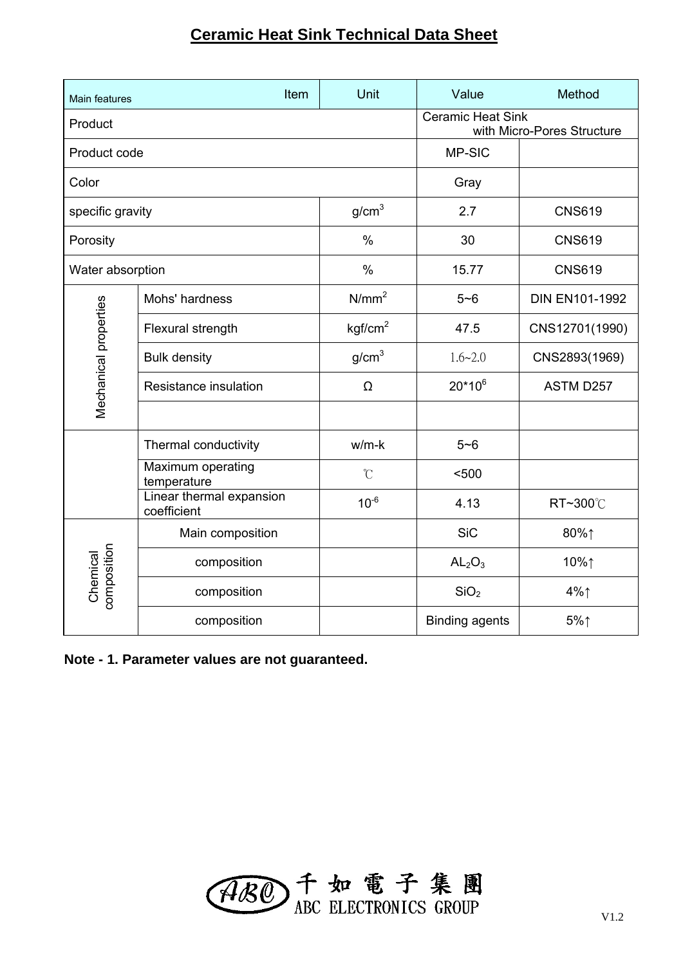#### **Ceramic Heat Sink Technical Data Sheet**

| Main features           | Item                                    | Unit                | Value                          | Method                     |
|-------------------------|-----------------------------------------|---------------------|--------------------------------|----------------------------|
| Product                 |                                         |                     | <b>Ceramic Heat Sink</b>       | with Micro-Pores Structure |
| Product code            |                                         |                     | MP-SIC                         |                            |
| Color                   |                                         |                     | Gray                           |                            |
| specific gravity        |                                         | g/cm <sup>3</sup>   | 2.7                            | <b>CNS619</b>              |
| Porosity                |                                         | $\%$                | 30                             | <b>CNS619</b>              |
| Water absorption        |                                         | $\%$                | 15.77                          | <b>CNS619</b>              |
|                         | Mohs' hardness                          | N/mm <sup>2</sup>   | $5 - 6$                        | <b>DIN EN101-1992</b>      |
|                         | Flexural strength                       | kgf/cm <sup>2</sup> | 47.5                           | CNS12701(1990)             |
| Mechanical properties   | <b>Bulk density</b>                     | g/cm <sup>3</sup>   | $1.6 - 2.0$                    | CNS2893(1969)              |
|                         | Resistance insulation                   | Ω                   | $20*10^6$                      | ASTM D257                  |
|                         |                                         |                     |                                |                            |
|                         | Thermal conductivity                    | $w/m-k$             | $5 - 6$                        |                            |
|                         | Maximum operating<br>temperature        | $\mathcal{C}$       | $500$                          |                            |
|                         | Linear thermal expansion<br>coefficient | $10^{-6}$           | 4.13                           | RT~300℃                    |
| composition<br>Chemical | Main composition                        |                     | <b>SiC</b>                     | 80%↑                       |
|                         | composition                             |                     | AL <sub>2</sub> O <sub>3</sub> | 10%↑                       |
|                         | composition                             |                     | SiO <sub>2</sub>               | $4\%$                      |
|                         | composition                             |                     | <b>Binding agents</b>          | $5\%$                      |

**Note - 1. Parameter values are not guaranteed.**

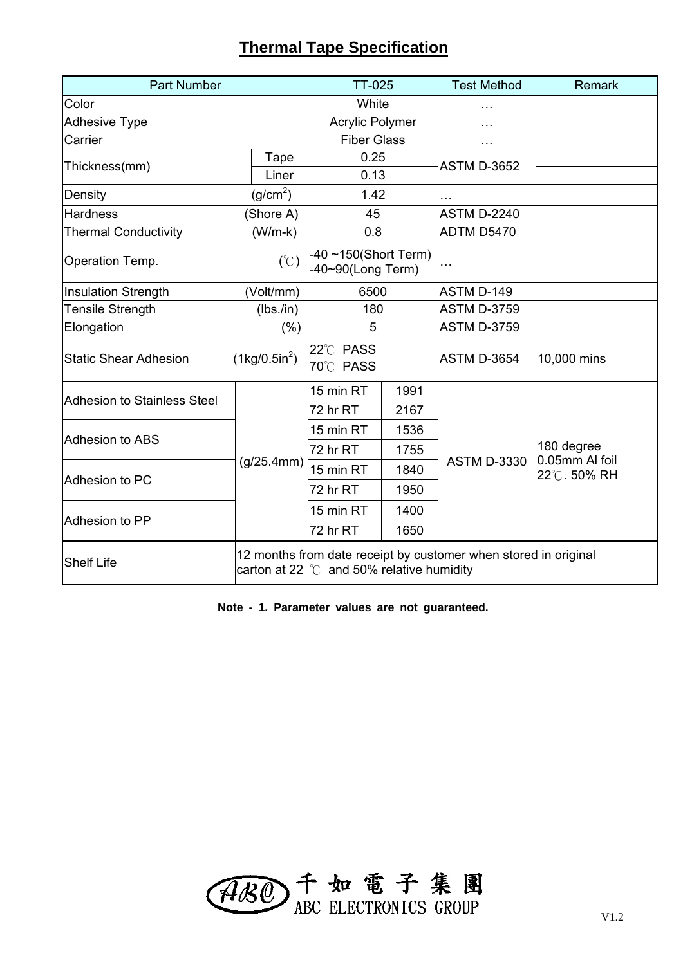#### **Thermal Tape Specification**

| <b>Part Number</b>                 | <b>TT-025</b>                 |                                                    | <b>Test Method</b> | <b>Remark</b>                                                   |                               |
|------------------------------------|-------------------------------|----------------------------------------------------|--------------------|-----------------------------------------------------------------|-------------------------------|
| Color                              |                               | White                                              |                    |                                                                 |                               |
| <b>Adhesive Type</b>               |                               | <b>Acrylic Polymer</b>                             |                    | .                                                               |                               |
| Carrier                            |                               | <b>Fiber Glass</b>                                 |                    | .                                                               |                               |
| Thickness(mm)                      | Tape                          | 0.25                                               |                    | <b>ASTM D-3652</b>                                              |                               |
|                                    | Liner                         | 0.13                                               |                    |                                                                 |                               |
| Density                            | (g/cm <sup>2</sup> )          | 1.42                                               |                    |                                                                 |                               |
| <b>Hardness</b>                    | (Shore A)                     | 45                                                 |                    | <b>ASTM D-2240</b>                                              |                               |
| <b>Thermal Conductivity</b>        | $(W/m-k)$                     | 0.8                                                |                    | ADTM D5470                                                      |                               |
| Operation Temp.                    | (C)                           | -40 $\sim$ 150(Short Term)<br>-40~90(Long Term)    |                    |                                                                 |                               |
| <b>Insulation Strength</b>         | (Volt/mm)                     | 6500                                               |                    | <b>ASTM D-149</b>                                               |                               |
| <b>Tensile Strength</b>            | (lbs./in)                     | 180                                                |                    | <b>ASTM D-3759</b>                                              |                               |
| Elongation                         | (% )                          |                                                    | 5                  |                                                                 |                               |
| <b>Static Shear Adhesion</b>       | $(1\text{kg}/0.5\text{in}^2)$ | 22°C PASS<br>70°C PASS                             |                    | <b>ASTM D-3654</b>                                              | 10,000 mins                   |
| <b>Adhesion to Stainless Steel</b> |                               | 15 min RT                                          | 1991               |                                                                 |                               |
|                                    |                               | 72 hr RT                                           | 2167               | <b>ASTM D-3330</b>                                              |                               |
| <b>Adhesion to ABS</b>             |                               | 15 min RT                                          | 1536               |                                                                 |                               |
|                                    |                               | 72 hr RT                                           | 1755               |                                                                 | 180 degree                    |
| Adhesion to PC                     | (g/25.4mm)                    | 15 min RT                                          | 1840               |                                                                 | 0.05mm AI foil<br>22℃. 50% RH |
|                                    |                               | 72 hr RT                                           | 1950               |                                                                 |                               |
|                                    |                               | 15 min RT                                          | 1400               |                                                                 |                               |
| Adhesion to PP                     |                               | 72 hr RT                                           | 1650               |                                                                 |                               |
| <b>Shelf Life</b>                  |                               | carton at 22 $\degree$ C and 50% relative humidity |                    | 12 months from date receipt by customer when stored in original |                               |

**Note - 1. Parameter values are not guaranteed.**

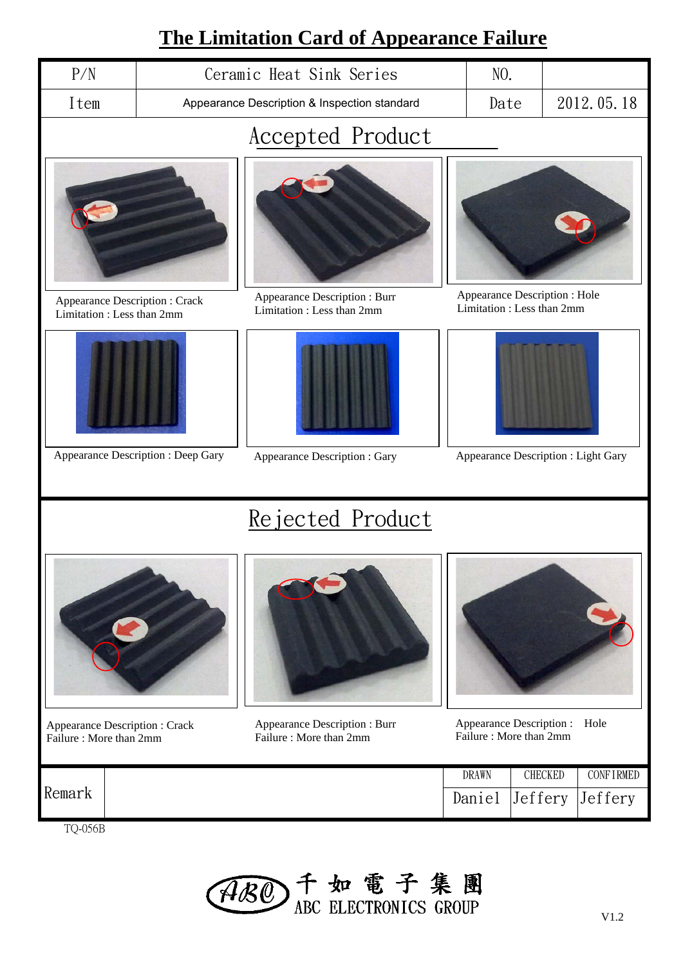## **The Limitation Card of Appearance Failure**

|                                                            |                                              | <u> I ne l'imitation Card of Appearance Failure</u>        |                                                            |                                     |            |  |  |  |
|------------------------------------------------------------|----------------------------------------------|------------------------------------------------------------|------------------------------------------------------------|-------------------------------------|------------|--|--|--|
| P/N                                                        | Ceramic Heat Sink Series                     |                                                            |                                                            | NO.                                 |            |  |  |  |
| Item                                                       | Appearance Description & Inspection standard |                                                            |                                                            | Date                                | 2012.05.18 |  |  |  |
|                                                            | Accepted Product                             |                                                            |                                                            |                                     |            |  |  |  |
|                                                            |                                              |                                                            |                                                            |                                     |            |  |  |  |
| Appearance Description: Crack<br>Limitation: Less than 2mm |                                              | Appearance Description : Burr<br>Limitation: Less than 2mm | Appearance Description : Hole<br>Limitation: Less than 2mm |                                     |            |  |  |  |
|                                                            |                                              |                                                            |                                                            |                                     |            |  |  |  |
|                                                            | Appearance Description : Deep Gary           | Appearance Description : Gary                              |                                                            | Appearance Description : Light Gary |            |  |  |  |
|                                                            |                                              | Rejected Product                                           |                                                            |                                     |            |  |  |  |

- Appearance Description : Crack Failure : More than 2mm
- Appearance Description : Burr Failure : More than 2mm

Appearance Description : Hole Failure : More than 2mm

| Remark                        | <b>DRAWN</b> | CHECKED | <b>CONFIRMED</b> |
|-------------------------------|--------------|---------|------------------|
|                               | Daniel       | Jeffery | Jeffery          |
| $T \cap \Delta f \cap \Delta$ |              |         |                  |

TQ-056B